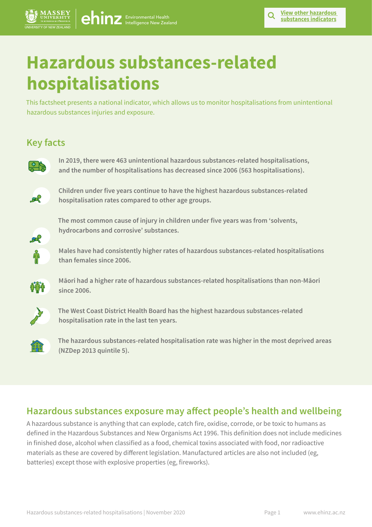# **Hazardous substances-related hospitalisations**

[ehinz](https://www.ehinz.ac.nz/) Environmental Health

This factsheet presents a national indicator, which allows us to monitor hospitalisations from unintentional hazardous substances injuries and exposure.

# **Key facts**



**In 2019, there were 463 unintentional hazardous substances-related hospitalisations, and the number of hospitalisations has decreased since 2006 (563 hospitalisations).** 



**Children under five years continue to have the highest hazardous substances-related hospitalisation rates compared to other age groups.**



**The most common cause of injury in children under five years was from 'solvents, hydrocarbons and corrosive' substances.**



**Males have had consistently higher rates of hazardous substances-related hospitalisations than females since 2006.**



**Māori had a higher rate of hazardous substances-related hospitalisations than non-Māori since 2006.**



**The West Coast District Health Board has the highest hazardous substances-related hospitalisation rate in the last ten years.** 



**The hazardous substances-related hospitalisation rate was higher in the most deprived areas (NZDep 2013 quintile 5).**

### **Hazardous substances exposure may affect people's health and wellbeing**

A hazardous substance is anything that can explode, catch fire, oxidise, corrode, or be toxic to humans as defined in the Hazardous Substances and New Organisms Act 1996. This definition does not include medicines in finished dose, alcohol when classified as a food, chemical toxins associated with food, nor radioactive materials as these are covered by different legislation. Manufactured articles are also not included (eg, batteries) except those with explosive properties (eg, fireworks).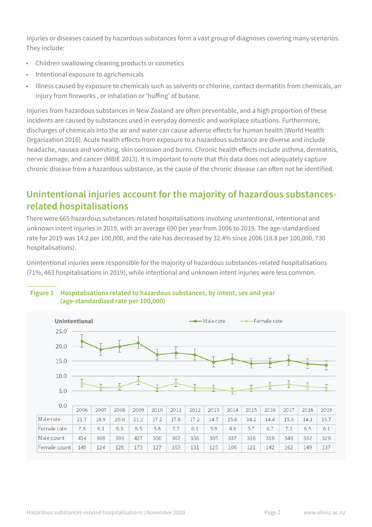Injuries or diseases caused by hazardous substances form a vast group of diagnoses covering many scenarios. They include:

- Children swallowing cleaning products or cosmetics
- Intentional exposure to agrichemicals
- Illness caused by exposure to chemicals such as solvents or chlorine, contact dermatitis from chemicals, an injury from fireworks , or inhalation or 'huffing' of butane.

Injuries from hazardous substances in New Zealand are often preventable, and a high proportion of these incidents are caused by substances used in everyday domestic and workplace situations. Furthermore, discharges of chemicals into the air and water can cause adverse effects for human health (World Health Organization 2016). Acute health effects from exposure to a hazardous substance are diverse and include headache, nausea and vomiting, skin corrosion and burns. Chronic health effects include asthma, dermatitis, nerve damage, and cancer (MBIE 2013). It is important to note that this data does not adequately capture chronic disease from a hazardous substance, as the cause of the chronic disease can often not be identified.

### **Unintentional injuries account for the majority of hazardous substancesrelated hospitalisations**

There were 665 hazardous substances-related hospitalisations involving unintentional, intentional and unknown intent injuries in 2019, with an average 690 per year from 2006 to 2019. The age-standardised rate for 2019 was 14.2 per 100,000, and the rate has decreased by 32.4% since 2006 (18.8 per 100,000, 730 hospitalisations).

Unintentional injuries were responsible for the majority of hazardous substances-related hospitalisations (71%, 463 hospitalisations in 2019), while intentional and unknown intent injuries were less common.



### **Figure 1 Hospitalisations related to hazardous substances, by intent, sex and year (age-standardised rate per 100,000)**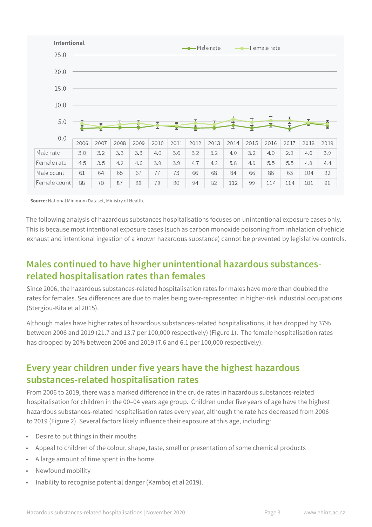

**Source:** National Minimum Dataset, Ministry of Health.

The following analysis of hazardous substances hospitalisations focuses on unintentional exposure cases only. This is because most intentional exposure cases (such as carbon monoxide poisoning from inhalation of vehicle exhaust and intentional ingestion of a known hazardous substance) cannot be prevented by legislative controls.

### **Males continued to have higher unintentional hazardous substancesrelated hospitalisation rates than females**

Since 2006, the hazardous substances-related hospitalisation rates for males have more than doubled the rates for females. Sex differences are due to males being over-represented in higher-risk industrial occupations (Stergiou-Kita et al 2015).

Although males have higher rates of hazardous substances-related hospitalisations, it has dropped by 37% between 2006 and 2019 (21.7 and 13.7 per 100,000 respectively) (Figure 1). The female hospitalisation rates has dropped by 20% between 2006 and 2019 (7.6 and 6.1 per 100,000 respectively).

### **Every year children under five years have the highest hazardous substances-related hospitalisation rates**

From 2006 to 2019, there was a marked difference in the crude rates in hazardous substances-related hospitalisation for children in the 00–04 years age group. Children under five years of age have the highest hazardous substances-related hospitalisation rates every year, although the rate has decreased from 2006 to 2019 (Figure 2). Several factors likely influence their exposure at this age, including:

- Desire to put things in their mouths
- Appeal to children of the colour, shape, taste, smell or presentation of some chemical products
- A large amount of time spent in the home
- Newfound mobility
- Inability to recognise potential danger (Kamboj et al 2019).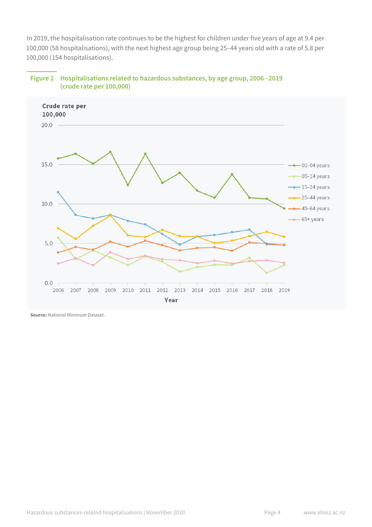In 2019, the hospitalisation rate continues to be the highest for children under five years of age at 9.4 per 100,000 (58 hospitalisations), with the next highest age group being 25–44 years old with a rate of 5.8 per 100,000 (154 hospitalisations).



#### **Figure 2 Hospitalisations related to hazardous substances, by age group, 2006 –2019 (crude rate per 100,000)**

**Source:** National Minimum Dataset.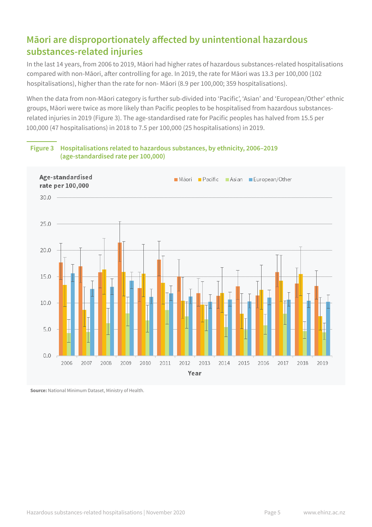# **Māori are disproportionately affected by unintentional hazardous substances-related injuries**

In the last 14 years, from 2006 to 2019, Māori had higher rates of hazardous substances-related hospitalisations compared with non-Māori, after controlling for age. In 2019, the rate for Māori was 13.3 per 100,000 (102 hospitalisations), higher than the rate for non- Māori (8.9 per 100,000; 359 hospitalisations).

When the data from non-Māori category is further sub-divided into 'Pacific', 'Asian' and 'European/Other' ethnic groups, Māori were twice as more likely than Pacific peoples to be hospitalised from hazardous substancesrelated injuries in 2019 (Figure 3). The age-standardised rate for Pacific peoples has halved from 15.5 per 100,000 (47 hospitalisations) in 2018 to 7.5 per 100,000 (25 hospitalisations) in 2019.



**Figure 3 Hospitalisations related to hazardous substances, by ethnicity, 2006–2019 (age-standardised rate per 100,000)**

**Source:** National Minimum Dataset, Ministry of Health.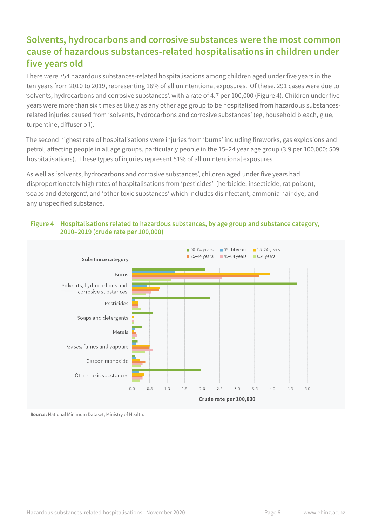# **Solvents, hydrocarbons and corrosive substances were the most common cause of hazardous substances-related hospitalisations in children under five years old**

There were 754 hazardous substances-related hospitalisations among children aged under five years in the ten years from 2010 to 2019, representing 16% of all unintentional exposures. Of these, 291 cases were due to 'solvents, hydrocarbons and corrosive substances', with a rate of 4.7 per 100,000 (Figure 4). Children under five years were more than six times as likely as any other age group to be hospitalised from hazardous substancesrelated injuries caused from 'solvents, hydrocarbons and corrosive substances' (eg, household bleach, glue, turpentine, diffuser oil).

The second highest rate of hospitalisations were injuries from 'burns' including fireworks, gas explosions and petrol, affecting people in all age groups, particularly people in the 15–24 year age group (3.9 per 100,000; 509 hospitalisations). These types of injuries represent 51% of all unintentional exposures.

As well as 'solvents, hydrocarbons and corrosive substances', children aged under five years had disproportionately high rates of hospitalisations from 'pesticides' (herbicide, insecticide, rat poison), 'soaps and detergent', and 'other toxic substances' which includes disinfectant, ammonia hair dye, and any unspecified substance.



#### **Figure 4 Hospitalisations related to hazardous substances, by age group and substance category, 2010–2019 (crude rate per 100,000)**

**Source:** National Minimum Dataset, Ministry of Health.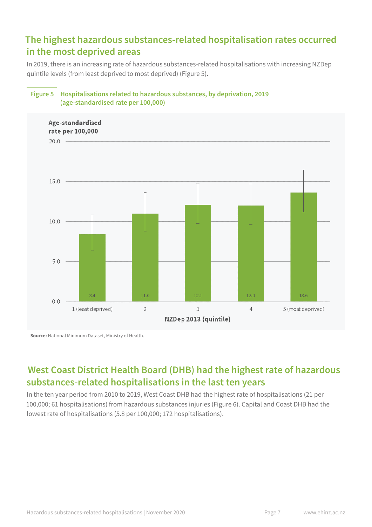# **The highest hazardous substances-related hospitalisation rates occurred in the most deprived areas**

In 2019, there is an increasing rate of hazardous substances-related hospitalisations with increasing NZDep quintile levels (from least deprived to most deprived) (Figure 5).



### **Figure 5 Hospitalisations related to hazardous substances, by deprivation, 2019 (age-standardised rate per 100,000)**

**Source:** National Minimum Dataset, Ministry of Health.

# **West Coast District Health Board (DHB) had the highest rate of hazardous substances-related hospitalisations in the last ten years**

In the ten year period from 2010 to 2019, West Coast DHB had the highest rate of hospitalisations (21 per 100,000; 61 hospitalisations) from hazardous substances injuries (Figure 6). Capital and Coast DHB had the lowest rate of hospitalisations (5.8 per 100,000; 172 hospitalisations).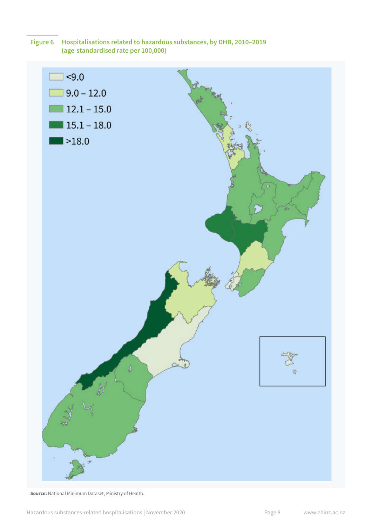

**Source:** National Minimum Dataset, Ministry of Health.